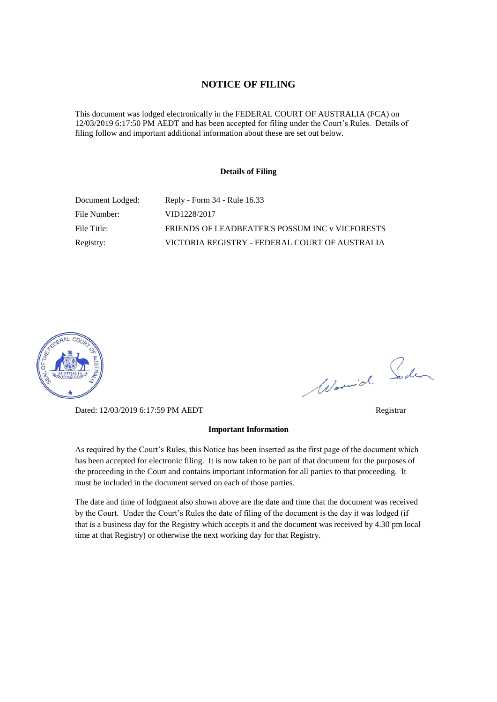## **NOTICE OF FILING**

This document was lodged electronically in the FEDERAL COURT OF AUSTRALIA (FCA) on 12/03/2019 6:17:50 PM AEDT and has been accepted for filing under the Court's Rules. Details of filing follow and important additional information about these are set out below.

#### **Details of Filing**

| Document Lodged: | Reply - Form 34 - Rule 16.33                    |
|------------------|-------------------------------------------------|
| File Number:     | VID1228/2017                                    |
| File Title:      | FRIENDS OF LEADBEATER'S POSSUM INC v VICFORESTS |
| Registry:        | VICTORIA REGISTRY - FEDERAL COURT OF AUSTRALIA  |



Dated: 12/03/2019 6:17:59 PM AEDT Registrar

Worwich Soden

# **Important Information**

As required by the Court's Rules, this Notice has been inserted as the first page of the document which has been accepted for electronic filing. It is now taken to be part of that document for the purposes of the proceeding in the Court and contains important information for all parties to that proceeding. It must be included in the document served on each of those parties.

The date and time of lodgment also shown above are the date and time that the document was received by the Court. Under the Court's Rules the date of filing of the document is the day it was lodged (if that is a business day for the Registry which accepts it and the document was received by 4.30 pm local time at that Registry) or otherwise the next working day for that Registry.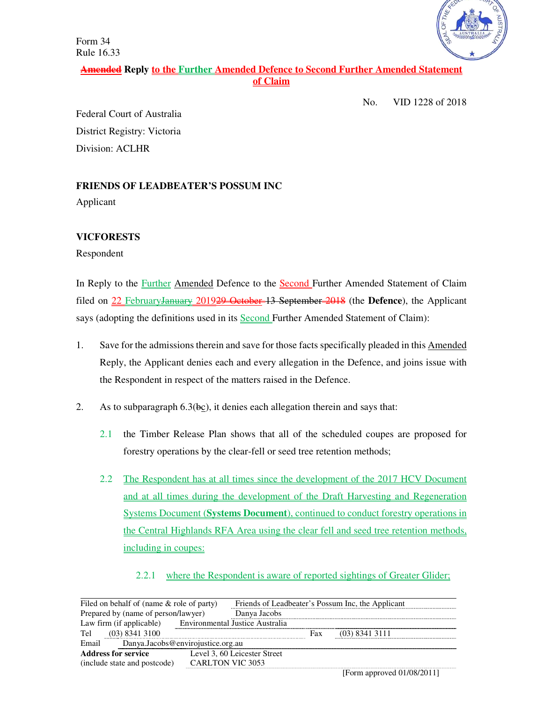Form 34 Rule 16.33



# **Amended Reply to the Further Amended Defence to Second Further Amended Statement of Claim**

No. VID 1228 of 2018

Federal Court of Australia District Registry: Victoria Division: ACLHR

## **FRIENDS OF LEADBEATER'S POSSUM INC**

Applicant

# **VICFORESTS**

Respondent

In Reply to the Further Amended Defence to the Second Further Amended Statement of Claim filed on 22 FebruaryJanuary 2019<del>29 October 13 September 2018</del> (the **Defence**), the Applicant says (adopting the definitions used in its Second Further Amended Statement of Claim):

- 1. Save for the admissions therein and save for those facts specifically pleaded in this Amended Reply, the Applicant denies each and every allegation in the Defence, and joins issue with the Respondent in respect of the matters raised in the Defence.
- 2. As to subparagraph  $6.3$  (bc), it denies each allegation therein and says that:
	- 2.1 the Timber Release Plan shows that all of the scheduled coupes are proposed for forestry operations by the clear-fell or seed tree retention methods;
	- 2.2 The Respondent has at all times since the development of the 2017 HCV Document and at all times during the development of the Draft Harvesting and Regeneration Systems Document (**Systems Document**), continued to conduct forestry operations in the Central Highlands RFA Area using the clear fell and seed tree retention methods, including in coupes:
		- 2.2.1 where the Respondent is aware of reported sightings of Greater Glider;

| Filed on behalf of (name $\&$ role of party) |                         | Friends of Leadbeater's Possum Inc, the Applicant |     |                  |  |
|----------------------------------------------|-------------------------|---------------------------------------------------|-----|------------------|--|
| Prepared by (name of person/lawyer)          |                         | Danya Jacobs                                      |     |                  |  |
| Law firm (if applicable)                     |                         | Environmental Justice Australia                   |     |                  |  |
| Tel<br>$(03)$ 8341 3100                      |                         |                                                   | Fax | $(03)$ 8341 3111 |  |
| Danya.Jacobs@envirojustice.org.au<br>Email   |                         |                                                   |     |                  |  |
| <b>Address for service</b>                   |                         | Level 3, 60 Leicester Street                      |     |                  |  |
| (include state and postcode)                 | <b>CARLTON VIC 3053</b> |                                                   |     |                  |  |
|                                              |                         |                                                   |     |                  |  |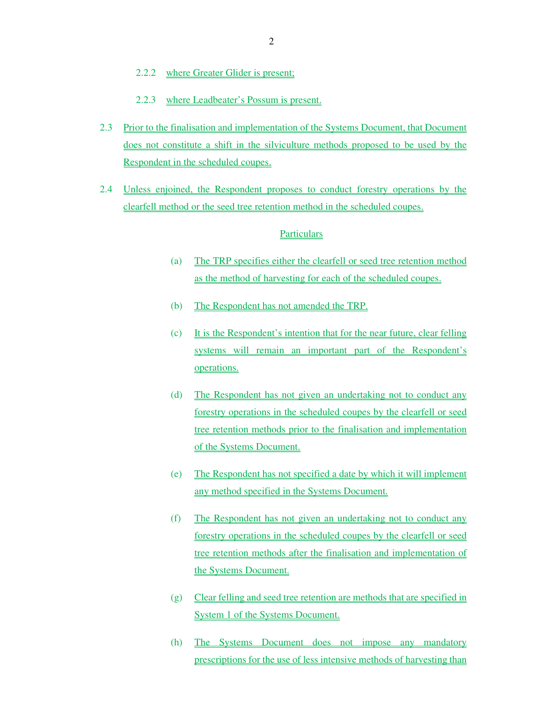- 2.2.2 where Greater Glider is present;
- 2.2.3 where Leadbeater's Possum is present.
- 2.3 Prior to the finalisation and implementation of the Systems Document, that Document does not constitute a shift in the silviculture methods proposed to be used by the Respondent in the scheduled coupes.
- 2.4 Unless enjoined, the Respondent proposes to conduct forestry operations by the clearfell method or the seed tree retention method in the scheduled coupes.

#### **Particulars**

- (a) The TRP specifies either the clearfell or seed tree retention method as the method of harvesting for each of the scheduled coupes.
- (b) The Respondent has not amended the TRP.
- (c) It is the Respondent's intention that for the near future, clear felling systems will remain an important part of the Respondent's operations.
- (d) The Respondent has not given an undertaking not to conduct any forestry operations in the scheduled coupes by the clearfell or seed tree retention methods prior to the finalisation and implementation of the Systems Document.
- (e) The Respondent has not specified a date by which it will implement any method specified in the Systems Document.
- (f) The Respondent has not given an undertaking not to conduct any forestry operations in the scheduled coupes by the clearfell or seed tree retention methods after the finalisation and implementation of the Systems Document.
- (g) Clear felling and seed tree retention are methods that are specified in System 1 of the Systems Document.
- (h) The Systems Document does not impose any mandatory prescriptions for the use of less intensive methods of harvesting than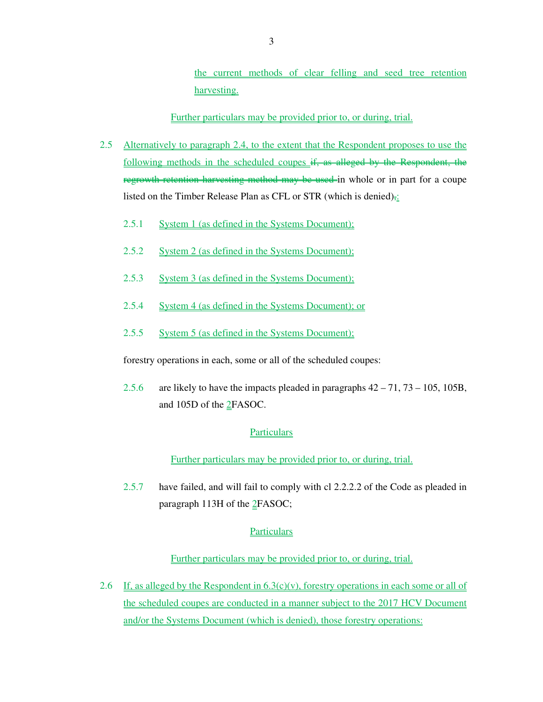the current methods of clear felling and seed tree retention harvesting.

Further particulars may be provided prior to, or during, trial.

- 2.5 Alternatively to paragraph 2.4, to the extent that the Respondent proposes to use the following methods in the scheduled coupes if, as alleged by the Respondent, the regrowth retention harvesting method may be used-in whole or in part for a coupe listed on the Timber Release Plan as CFL or STR (which is denied) $\frac{1}{2}$ .
	- 2.5.1 System 1 (as defined in the Systems Document);
	- 2.5.2 System 2 (as defined in the Systems Document);
	- 2.5.3 System 3 (as defined in the Systems Document);
	- 2.5.4 System 4 (as defined in the Systems Document); or
	- 2.5.5 System 5 (as defined in the Systems Document);

forestry operations in each, some or all of the scheduled coupes:

2.5.6 are likely to have the impacts pleaded in paragraphs 42 – 71, 73 – 105, 105B, and 105D of the 2FASOC.

## **Particulars**

Further particulars may be provided prior to, or during, trial.

2.5.7 have failed, and will fail to comply with cl 2.2.2.2 of the Code as pleaded in paragraph 113H of the 2FASOC;

## Particulars

## Further particulars may be provided prior to, or during, trial.

2.6 If, as alleged by the Respondent in  $6.3(c)(v)$ , forestry operations in each some or all of the scheduled coupes are conducted in a manner subject to the 2017 HCV Document and/or the Systems Document (which is denied), those forestry operations: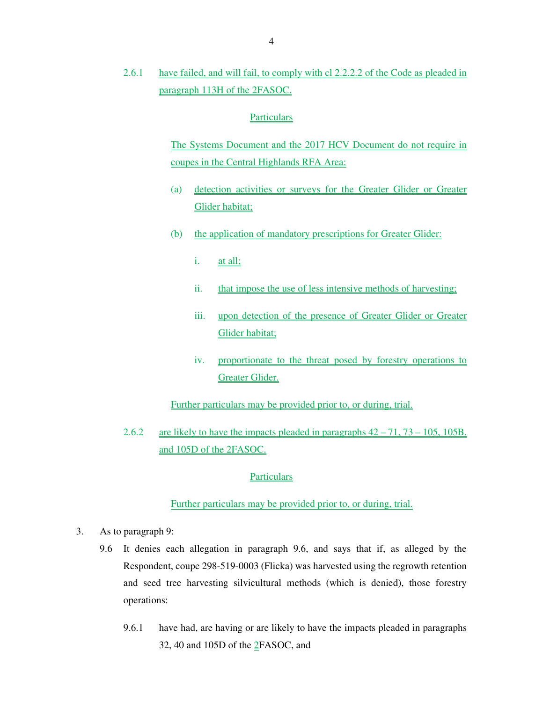2.6.1 have failed, and will fail, to comply with cl 2.2.2.2 of the Code as pleaded in paragraph 113H of the 2FASOC.

#### **Particulars**

The Systems Document and the 2017 HCV Document do not require in coupes in the Central Highlands RFA Area:

- (a) detection activities or surveys for the Greater Glider or Greater Glider habitat;
- (b) the application of mandatory prescriptions for Greater Glider:
	- i. at all;
	- ii. that impose the use of less intensive methods of harvesting;
	- iii. upon detection of the presence of Greater Glider or Greater Glider habitat;
	- iv. proportionate to the threat posed by forestry operations to Greater Glider.

Further particulars may be provided prior to, or during, trial.

2.6.2 are likely to have the impacts pleaded in paragraphs  $42 - 71$ ,  $73 - 105$ ,  $105B$ , and 105D of the 2FASOC.

## **Particulars**

#### Further particulars may be provided prior to, or during, trial.

- 3. As to paragraph 9:
	- 9.6 It denies each allegation in paragraph 9.6, and says that if, as alleged by the Respondent, coupe 298-519-0003 (Flicka) was harvested using the regrowth retention and seed tree harvesting silvicultural methods (which is denied), those forestry operations:
		- 9.6.1 have had, are having or are likely to have the impacts pleaded in paragraphs 32, 40 and 105D of the 2FASOC, and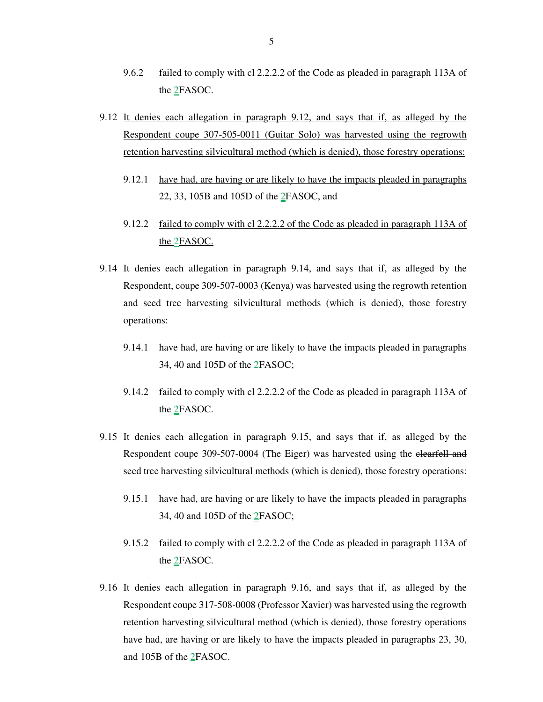- 9.6.2 failed to comply with cl 2.2.2.2 of the Code as pleaded in paragraph 113A of the 2FASOC.
- 9.12 It denies each allegation in paragraph 9.12, and says that if, as alleged by the Respondent coupe 307-505-0011 (Guitar Solo) was harvested using the regrowth retention harvesting silvicultural method (which is denied), those forestry operations:
	- 9.12.1 have had, are having or are likely to have the impacts pleaded in paragraphs 22, 33, 105B and 105D of the 2FASOC, and
	- 9.12.2 failed to comply with cl 2.2.2.2 of the Code as pleaded in paragraph 113A of the 2FASOC.
- 9.14 It denies each allegation in paragraph 9.14, and says that if, as alleged by the Respondent, coupe 309-507-0003 (Kenya) was harvested using the regrowth retention and seed tree harvesting silvicultural methods (which is denied), those forestry operations:
	- 9.14.1 have had, are having or are likely to have the impacts pleaded in paragraphs 34, 40 and 105D of the 2FASOC;
	- 9.14.2 failed to comply with cl 2.2.2.2 of the Code as pleaded in paragraph 113A of the 2FASOC.
- 9.15 It denies each allegation in paragraph 9.15, and says that if, as alleged by the Respondent coupe 309-507-0004 (The Eiger) was harvested using the clearfell and seed tree harvesting silvicultural methods (which is denied), those forestry operations:
	- 9.15.1 have had, are having or are likely to have the impacts pleaded in paragraphs 34, 40 and 105D of the 2FASOC;
	- 9.15.2 failed to comply with cl 2.2.2.2 of the Code as pleaded in paragraph 113A of the 2FASOC.
- 9.16 It denies each allegation in paragraph 9.16, and says that if, as alleged by the Respondent coupe 317-508-0008 (Professor Xavier) was harvested using the regrowth retention harvesting silvicultural method (which is denied), those forestry operations have had, are having or are likely to have the impacts pleaded in paragraphs 23, 30, and 105B of the 2FASOC.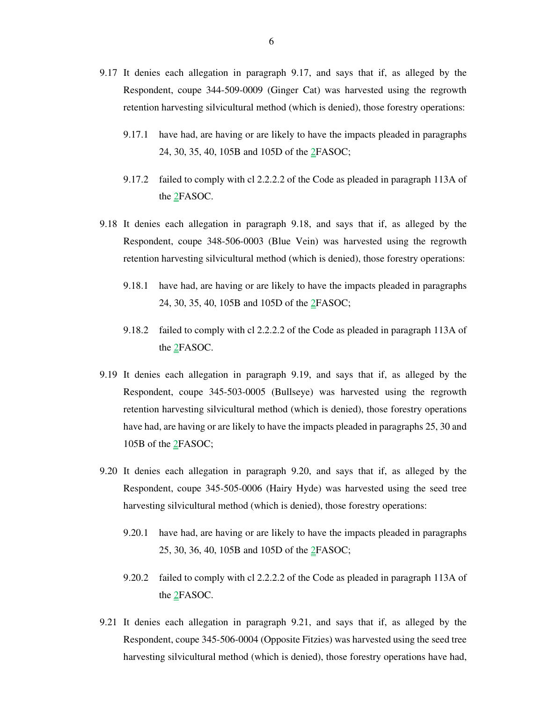- 9.17 It denies each allegation in paragraph 9.17, and says that if, as alleged by the Respondent, coupe 344-509-0009 (Ginger Cat) was harvested using the regrowth retention harvesting silvicultural method (which is denied), those forestry operations:
	- 9.17.1 have had, are having or are likely to have the impacts pleaded in paragraphs 24, 30, 35, 40, 105B and 105D of the 2FASOC;
	- 9.17.2 failed to comply with cl 2.2.2.2 of the Code as pleaded in paragraph 113A of the 2FASOC.
- 9.18 It denies each allegation in paragraph 9.18, and says that if, as alleged by the Respondent, coupe 348-506-0003 (Blue Vein) was harvested using the regrowth retention harvesting silvicultural method (which is denied), those forestry operations:
	- 9.18.1 have had, are having or are likely to have the impacts pleaded in paragraphs 24, 30, 35, 40, 105B and 105D of the 2FASOC;
	- 9.18.2 failed to comply with cl 2.2.2.2 of the Code as pleaded in paragraph 113A of the 2FASOC.
- 9.19 It denies each allegation in paragraph 9.19, and says that if, as alleged by the Respondent, coupe 345-503-0005 (Bullseye) was harvested using the regrowth retention harvesting silvicultural method (which is denied), those forestry operations have had, are having or are likely to have the impacts pleaded in paragraphs 25, 30 and 105B of the 2FASOC;
- 9.20 It denies each allegation in paragraph 9.20, and says that if, as alleged by the Respondent, coupe 345-505-0006 (Hairy Hyde) was harvested using the seed tree harvesting silvicultural method (which is denied), those forestry operations:
	- 9.20.1 have had, are having or are likely to have the impacts pleaded in paragraphs 25, 30, 36, 40, 105B and 105D of the 2FASOC;
	- 9.20.2 failed to comply with cl 2.2.2.2 of the Code as pleaded in paragraph 113A of the 2FASOC.
- 9.21 It denies each allegation in paragraph 9.21, and says that if, as alleged by the Respondent, coupe 345-506-0004 (Opposite Fitzies) was harvested using the seed tree harvesting silvicultural method (which is denied), those forestry operations have had,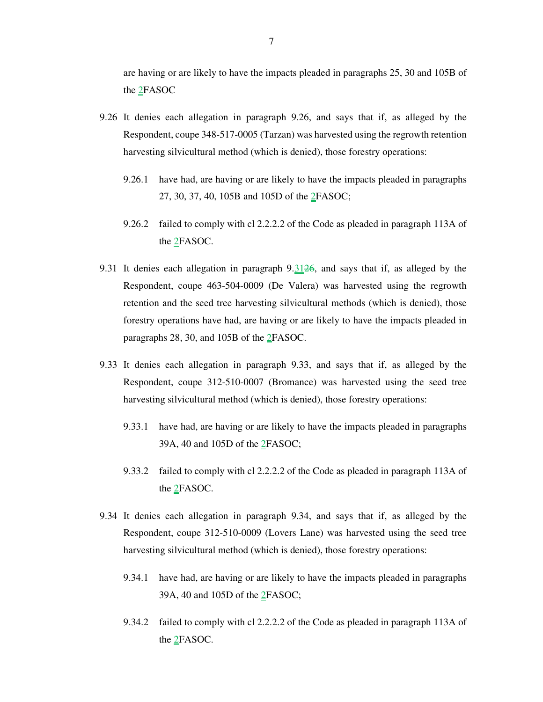are having or are likely to have the impacts pleaded in paragraphs 25, 30 and 105B of the 2FASOC

- 9.26 It denies each allegation in paragraph 9.26, and says that if, as alleged by the Respondent, coupe 348-517-0005 (Tarzan) was harvested using the regrowth retention harvesting silvicultural method (which is denied), those forestry operations:
	- 9.26.1 have had, are having or are likely to have the impacts pleaded in paragraphs 27, 30, 37, 40, 105B and 105D of the 2FASOC;
	- 9.26.2 failed to comply with cl 2.2.2.2 of the Code as pleaded in paragraph 113A of the 2FASOC.
- 9.31 It denies each allegation in paragraph  $9.31\overline{26}$ , and says that if, as alleged by the Respondent, coupe 463-504-0009 (De Valera) was harvested using the regrowth retention and the seed tree harvesting silvicultural methods (which is denied), those forestry operations have had, are having or are likely to have the impacts pleaded in paragraphs 28, 30, and 105B of the 2FASOC.
- 9.33 It denies each allegation in paragraph 9.33, and says that if, as alleged by the Respondent, coupe 312-510-0007 (Bromance) was harvested using the seed tree harvesting silvicultural method (which is denied), those forestry operations:
	- 9.33.1 have had, are having or are likely to have the impacts pleaded in paragraphs 39A, 40 and 105D of the 2FASOC;
	- 9.33.2 failed to comply with cl 2.2.2.2 of the Code as pleaded in paragraph 113A of the 2FASOC.
- 9.34 It denies each allegation in paragraph 9.34, and says that if, as alleged by the Respondent, coupe 312-510-0009 (Lovers Lane) was harvested using the seed tree harvesting silvicultural method (which is denied), those forestry operations:
	- 9.34.1 have had, are having or are likely to have the impacts pleaded in paragraphs 39A, 40 and 105D of the 2FASOC;
	- 9.34.2 failed to comply with cl 2.2.2.2 of the Code as pleaded in paragraph 113A of the 2FASOC.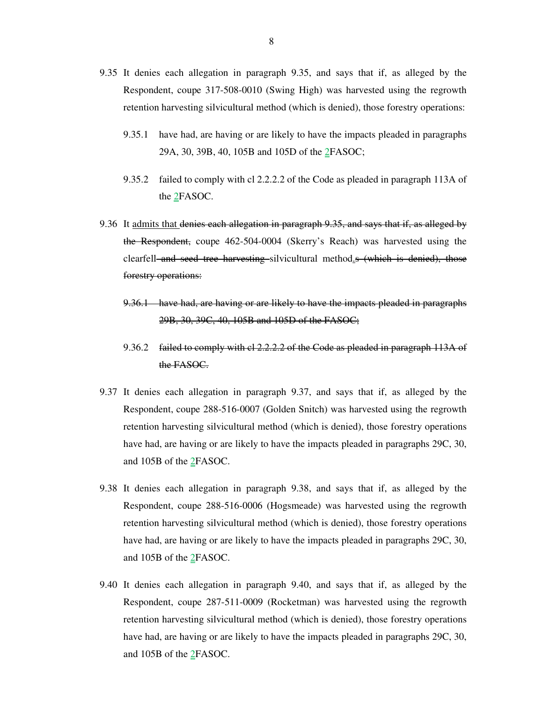- 9.35 It denies each allegation in paragraph 9.35, and says that if, as alleged by the Respondent, coupe 317-508-0010 (Swing High) was harvested using the regrowth retention harvesting silvicultural method (which is denied), those forestry operations:
	- 9.35.1 have had, are having or are likely to have the impacts pleaded in paragraphs 29A, 30, 39B, 40, 105B and 105D of the 2FASOC;
	- 9.35.2 failed to comply with cl 2.2.2.2 of the Code as pleaded in paragraph 113A of the 2FASOC.
- 9.36 It admits that denies each allegation in paragraph 9.35, and says that if, as alleged by the Respondent, coupe 462-504-0004 (Skerry's Reach) was harvested using the clearfell and seed tree harvesting silvicultural method. S (which is denied), those forestry operations:
	- 9.36.1 have had, are having or are likely to have the impacts pleaded in paragraphs 29B, 30, 39C, 40, 105B and 105D of the FASOC;
	- 9.36.2 failed to comply with cl 2.2.2.2 of the Code as pleaded in paragraph 113A of the FASOC.
- 9.37 It denies each allegation in paragraph 9.37, and says that if, as alleged by the Respondent, coupe 288-516-0007 (Golden Snitch) was harvested using the regrowth retention harvesting silvicultural method (which is denied), those forestry operations have had, are having or are likely to have the impacts pleaded in paragraphs 29C, 30, and 105B of the 2FASOC.
- 9.38 It denies each allegation in paragraph 9.38, and says that if, as alleged by the Respondent, coupe 288-516-0006 (Hogsmeade) was harvested using the regrowth retention harvesting silvicultural method (which is denied), those forestry operations have had, are having or are likely to have the impacts pleaded in paragraphs 29C, 30, and 105B of the 2FASOC.
- 9.40 It denies each allegation in paragraph 9.40, and says that if, as alleged by the Respondent, coupe 287-511-0009 (Rocketman) was harvested using the regrowth retention harvesting silvicultural method (which is denied), those forestry operations have had, are having or are likely to have the impacts pleaded in paragraphs 29C, 30, and 105B of the 2FASOC.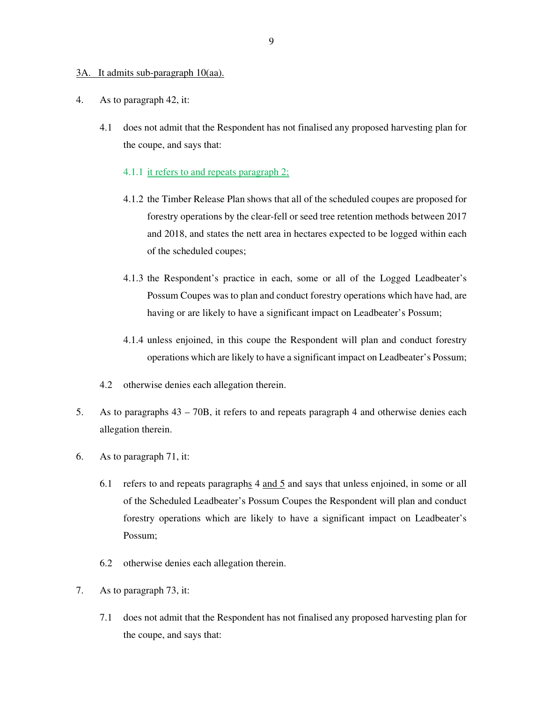#### 3A. It admits sub-paragraph 10(aa).

- 4. As to paragraph 42, it:
	- 4.1 does not admit that the Respondent has not finalised any proposed harvesting plan for the coupe, and says that:
		- 4.1.1 it refers to and repeats paragraph 2;
		- 4.1.2 the Timber Release Plan shows that all of the scheduled coupes are proposed for forestry operations by the clear-fell or seed tree retention methods between 2017 and 2018, and states the nett area in hectares expected to be logged within each of the scheduled coupes;
		- 4.1.3 the Respondent's practice in each, some or all of the Logged Leadbeater's Possum Coupes was to plan and conduct forestry operations which have had, are having or are likely to have a significant impact on Leadbeater's Possum;
		- 4.1.4 unless enjoined, in this coupe the Respondent will plan and conduct forestry operations which are likely to have a significant impact on Leadbeater's Possum;
	- 4.2 otherwise denies each allegation therein.
- 5. As to paragraphs 43 70B, it refers to and repeats paragraph 4 and otherwise denies each allegation therein.
- 6. As to paragraph 71, it:
	- 6.1 refers to and repeats paragraphs  $4$  and  $5$  and says that unless enjoined, in some or all of the Scheduled Leadbeater's Possum Coupes the Respondent will plan and conduct forestry operations which are likely to have a significant impact on Leadbeater's Possum;
	- 6.2 otherwise denies each allegation therein.
- 7. As to paragraph 73, it:
	- 7.1 does not admit that the Respondent has not finalised any proposed harvesting plan for the coupe, and says that: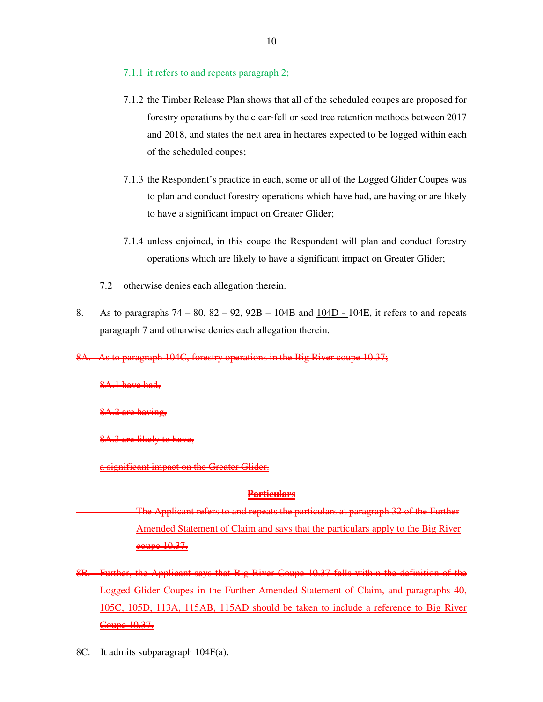- 7.1.1 it refers to and repeats paragraph 2;
- 7.1.2 the Timber Release Plan shows that all of the scheduled coupes are proposed for forestry operations by the clear-fell or seed tree retention methods between 2017 and 2018, and states the nett area in hectares expected to be logged within each of the scheduled coupes;
- 7.1.3 the Respondent's practice in each, some or all of the Logged Glider Coupes was to plan and conduct forestry operations which have had, are having or are likely to have a significant impact on Greater Glider;
- 7.1.4 unless enjoined, in this coupe the Respondent will plan and conduct forestry operations which are likely to have a significant impact on Greater Glider;
- 7.2 otherwise denies each allegation therein.
- 8. As to paragraphs  $74 80$ ,  $82 92$ ,  $92B 104B$  and  $104D 104E$ , it refers to and repeats paragraph 7 and otherwise denies each allegation therein.

104C, forestry operations in the Big River

8A.1 have had,

8A.2 are having,

8A.3 are likely to have,

mificant impact on the

#### **Particulars**

narticulars at paragraph Amended Statement of Claim and says that the particulars apply to the Big River <u>eoupe 10.37.</u>

- 8B. Further, the Applicant says that Big River Coupe 10.37 falls within the definition of the Coupes in the Further Amended Statement of Claim, and paragraph 105D, 113A, 115AB, 115AD should be taken to include a reference <del>upe 10.37.</del>
- 8C. It admits subparagraph 104F(a).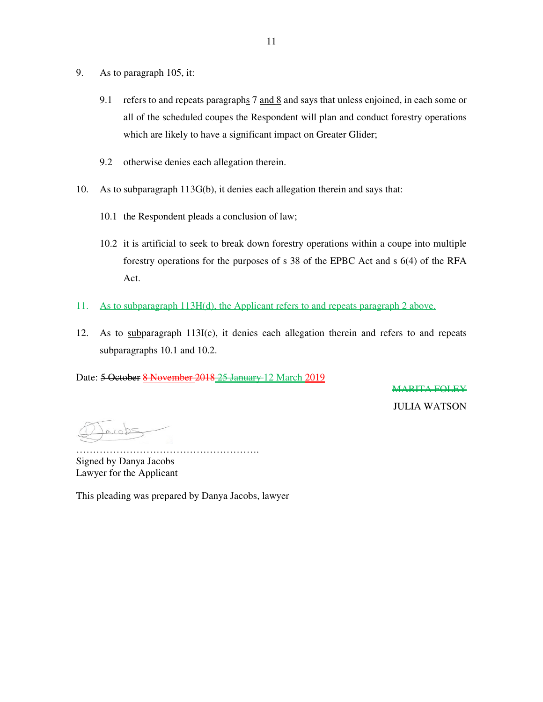- 9. As to paragraph 105, it:
	- 9.1 refers to and repeats paragraphs 7 and 8 and says that unless enjoined, in each some or all of the scheduled coupes the Respondent will plan and conduct forestry operations which are likely to have a significant impact on Greater Glider;
	- 9.2 otherwise denies each allegation therein.
- 10. As to subparagraph 113G(b), it denies each allegation therein and says that:
	- 10.1 the Respondent pleads a conclusion of law;
	- 10.2 it is artificial to seek to break down forestry operations within a coupe into multiple forestry operations for the purposes of s 38 of the EPBC Act and s 6(4) of the RFA Act.
- 11. As to subparagraph 113H(d), the Applicant refers to and repeats paragraph 2 above.
- 12. As to subparagraph 113I(c), it denies each allegation therein and refers to and repeats subparagraphs 10.1 and 10.2.

Date: 5 October 8 November 2018 25 January 12 March 2019

MARITA FOLEY

JULIA WATSON

………………………………………………. Signed by Danya Jacobs Lawyer for the Applicant

This pleading was prepared by Danya Jacobs, lawyer